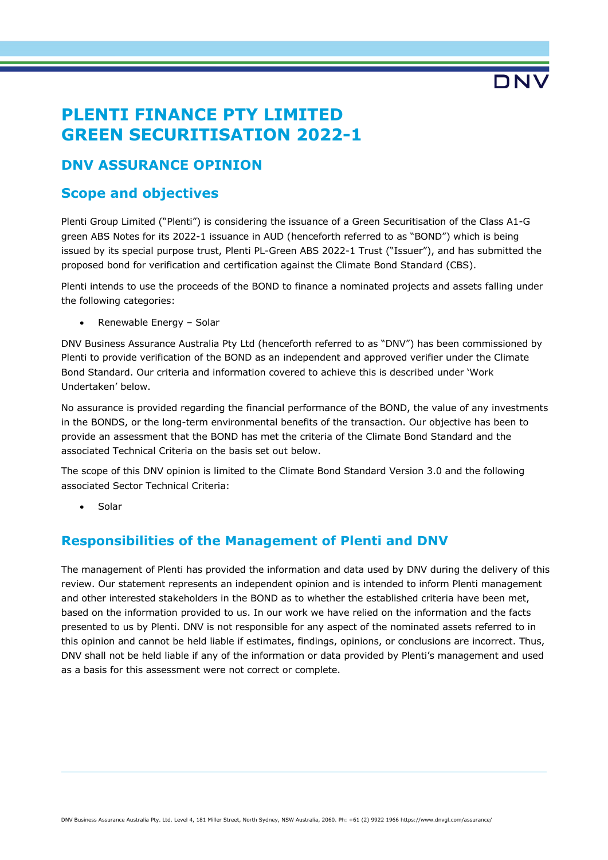# **PLENTI FINANCE PTY LIMITED GREEN SECURITISATION 2022-1**

# **DNV ASSURANCE OPINION**

### **Scope and objectives**

Plenti Group Limited ("Plenti") is considering the issuance of a Green Securitisation of the Class A1-G green ABS Notes for its 2022-1 issuance in AUD (henceforth referred to as "BOND") which is being issued by its special purpose trust, Plenti PL-Green ABS 2022-1 Trust ("Issuer"), and has submitted the proposed bond for verification and certification against the Climate Bond Standard (CBS).

Plenti intends to use the proceeds of the BOND to finance a nominated projects and assets falling under the following categories:

• Renewable Energy – Solar

DNV Business Assurance Australia Pty Ltd (henceforth referred to as "DNV") has been commissioned by Plenti to provide verification of the BOND as an independent and approved verifier under the Climate Bond Standard. Our criteria and information covered to achieve this is described under 'Work Undertaken' below.

No assurance is provided regarding the financial performance of the BOND, the value of any investments in the BONDS, or the long-term environmental benefits of the transaction. Our objective has been to provide an assessment that the BOND has met the criteria of the Climate Bond Standard and the associated Technical Criteria on the basis set out below.

The scope of this DNV opinion is limited to the Climate Bond Standard Version 3.0 and the following associated Sector Technical Criteria:

**Solar** 

# **Responsibilities of the Management of Plenti and DNV**

The management of Plenti has provided the information and data used by DNV during the delivery of this review. Our statement represents an independent opinion and is intended to inform Plenti management and other interested stakeholders in the BOND as to whether the established criteria have been met, based on the information provided to us. In our work we have relied on the information and the facts presented to us by Plenti. DNV is not responsible for any aspect of the nominated assets referred to in this opinion and cannot be held liable if estimates, findings, opinions, or conclusions are incorrect. Thus, DNV shall not be held liable if any of the information or data provided by Plenti's management and used as a basis for this assessment were not correct or complete.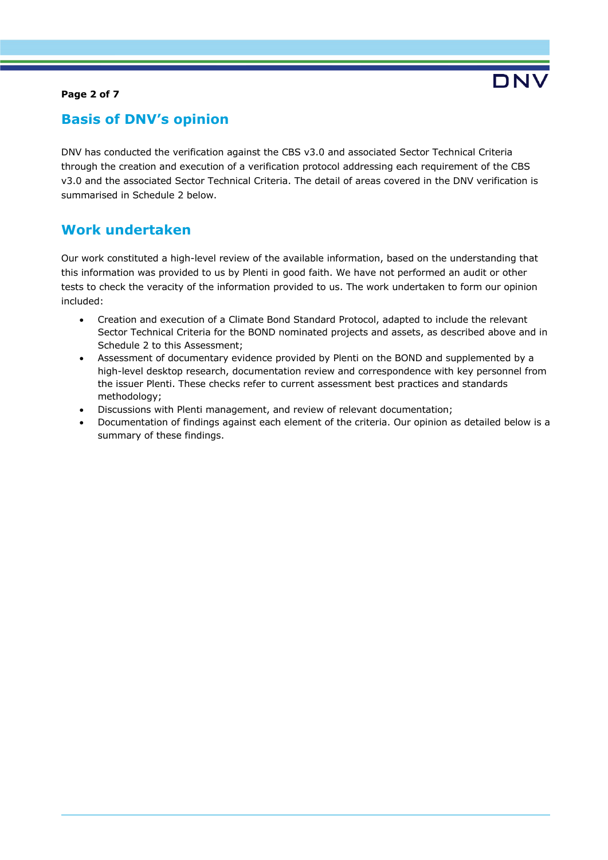### **Page 2 of 7**

# **Basis of DNV's opinion**

DNV has conducted the verification against the CBS v3.0 and associated Sector Technical Criteria through the creation and execution of a verification protocol addressing each requirement of the CBS v3.0 and the associated Sector Technical Criteria. The detail of areas covered in the DNV verification is summarised in Schedule 2 below.

## **Work undertaken**

Our work constituted a high-level review of the available information, based on the understanding that this information was provided to us by Plenti in good faith. We have not performed an audit or other tests to check the veracity of the information provided to us. The work undertaken to form our opinion included:

- Creation and execution of a Climate Bond Standard Protocol, adapted to include the relevant Sector Technical Criteria for the BOND nominated projects and assets, as described above and in Schedule 2 to this Assessment;
- Assessment of documentary evidence provided by Plenti on the BOND and supplemented by a high-level desktop research, documentation review and correspondence with key personnel from the issuer Plenti. These checks refer to current assessment best practices and standards methodology;
- Discussions with Plenti management, and review of relevant documentation;
- Documentation of findings against each element of the criteria. Our opinion as detailed below is a summary of these findings.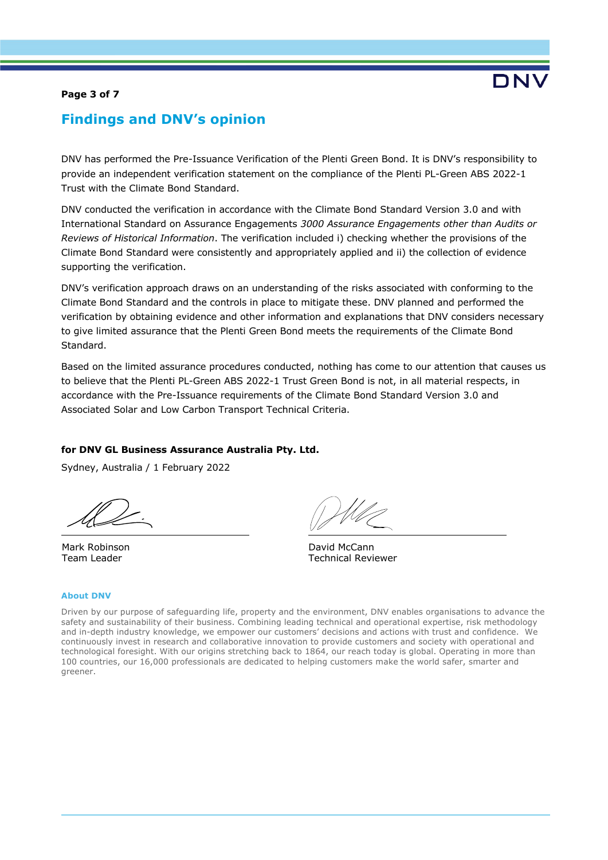#### **Page 3 of 7**

# **Findings and DNV's opinion**

DNV has performed the Pre-Issuance Verification of the Plenti Green Bond. It is DNV's responsibility to provide an independent verification statement on the compliance of the Plenti PL-Green ABS 2022-1 Trust with the Climate Bond Standard.

DNV conducted the verification in accordance with the Climate Bond Standard Version 3.0 and with International Standard on Assurance Engagements *3000 Assurance Engagements other than Audits or Reviews of Historical Information*. The verification included i) checking whether the provisions of the Climate Bond Standard were consistently and appropriately applied and ii) the collection of evidence supporting the verification.

DNV's verification approach draws on an understanding of the risks associated with conforming to the Climate Bond Standard and the controls in place to mitigate these. DNV planned and performed the verification by obtaining evidence and other information and explanations that DNV considers necessary to give limited assurance that the Plenti Green Bond meets the requirements of the Climate Bond Standard.

Based on the limited assurance procedures conducted, nothing has come to our attention that causes us to believe that the Plenti PL-Green ABS 2022-1 Trust Green Bond is not, in all material respects, in accordance with the Pre-Issuance requirements of the Climate Bond Standard Version 3.0 and Associated Solar and Low Carbon Transport Technical Criteria.

#### **for DNV GL Business Assurance Australia Pty. Ltd.**

Sydney, Australia / 1 February 2022

Mark Robinson Team Leader

David McCann Technical Reviewer

#### **About DNV**

Driven by our purpose of safeguarding life, property and the environment, DNV enables organisations to advance the safety and sustainability of their business. Combining leading technical and operational expertise, risk methodology and in-depth industry knowledge, we empower our customers' decisions and actions with trust and confidence. We continuously invest in research and collaborative innovation to provide customers and society with operational and technological foresight. With our origins stretching back to 1864, our reach today is global. Operating in more than 100 countries, our 16,000 professionals are dedicated to helping customers make the world safer, smarter and greener.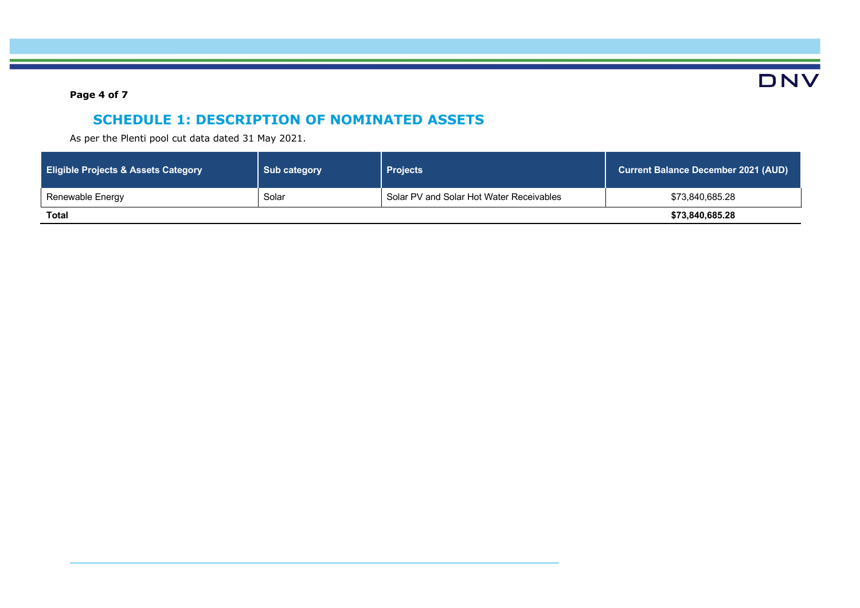**DNV** 

**Page 4 of 7**

# **SCHEDULE 1: DESCRIPTION OF NOMINATED ASSETS**

As per the Plenti pool cut data dated 31 May 2021.

| <b>Eligible Projects &amp; Assets Category</b> | <b>Sub category</b> | <b>Projects</b>                          | <b>Current Balance December 2021 (AUD)</b> |
|------------------------------------------------|---------------------|------------------------------------------|--------------------------------------------|
| Renewable Energy                               | Solar               | Solar PV and Solar Hot Water Receivables | \$73,840,685.28                            |
| <b>Total</b>                                   |                     |                                          | \$73,840,685.28                            |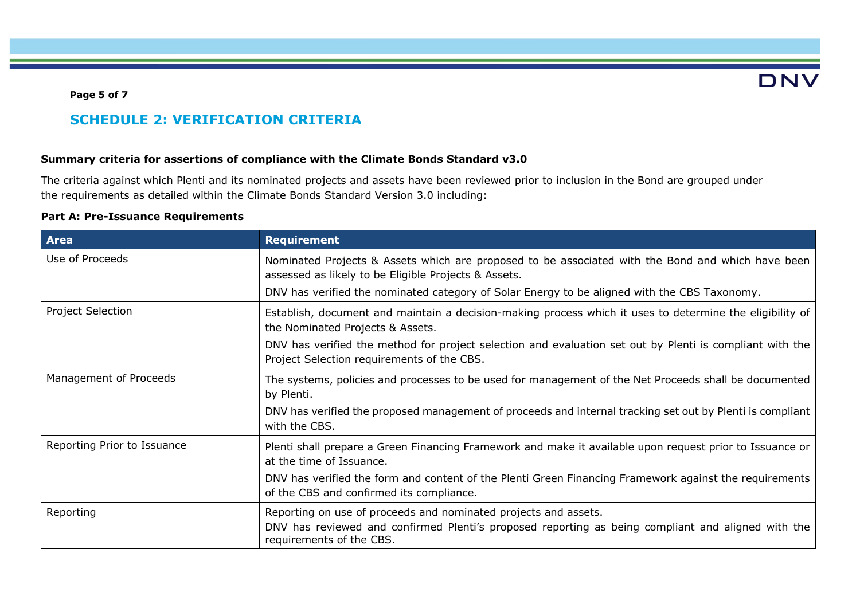#### **Page 5 of 7**

# **SCHEDULE 2: VERIFICATION CRITERIA**

### **Summary criteria for assertions of compliance with the Climate Bonds Standard v3.0**

The criteria against which Plenti and its nominated projects and assets have been reviewed prior to inclusion in the Bond are grouped under the requirements as detailed within the Climate Bonds Standard Version 3.0 including:

### **Part A: Pre-Issuance Requirements**

| <b>Area</b>                 | <b>Requirement</b>                                                                                                                                                                                |
|-----------------------------|---------------------------------------------------------------------------------------------------------------------------------------------------------------------------------------------------|
| Use of Proceeds             | Nominated Projects & Assets which are proposed to be associated with the Bond and which have been<br>assessed as likely to be Eligible Projects & Assets.                                         |
|                             | DNV has verified the nominated category of Solar Energy to be aligned with the CBS Taxonomy.                                                                                                      |
| <b>Project Selection</b>    | Establish, document and maintain a decision-making process which it uses to determine the eligibility of<br>the Nominated Projects & Assets.                                                      |
|                             | DNV has verified the method for project selection and evaluation set out by Plenti is compliant with the<br>Project Selection requirements of the CBS.                                            |
| Management of Proceeds      | The systems, policies and processes to be used for management of the Net Proceeds shall be documented<br>by Plenti.                                                                               |
|                             | DNV has verified the proposed management of proceeds and internal tracking set out by Plenti is compliant<br>with the CBS.                                                                        |
| Reporting Prior to Issuance | Plenti shall prepare a Green Financing Framework and make it available upon request prior to Issuance or<br>at the time of Issuance.                                                              |
|                             | DNV has verified the form and content of the Plenti Green Financing Framework against the requirements<br>of the CBS and confirmed its compliance.                                                |
| Reporting                   | Reporting on use of proceeds and nominated projects and assets.<br>DNV has reviewed and confirmed Plenti's proposed reporting as being compliant and aligned with the<br>requirements of the CBS. |

**DNV**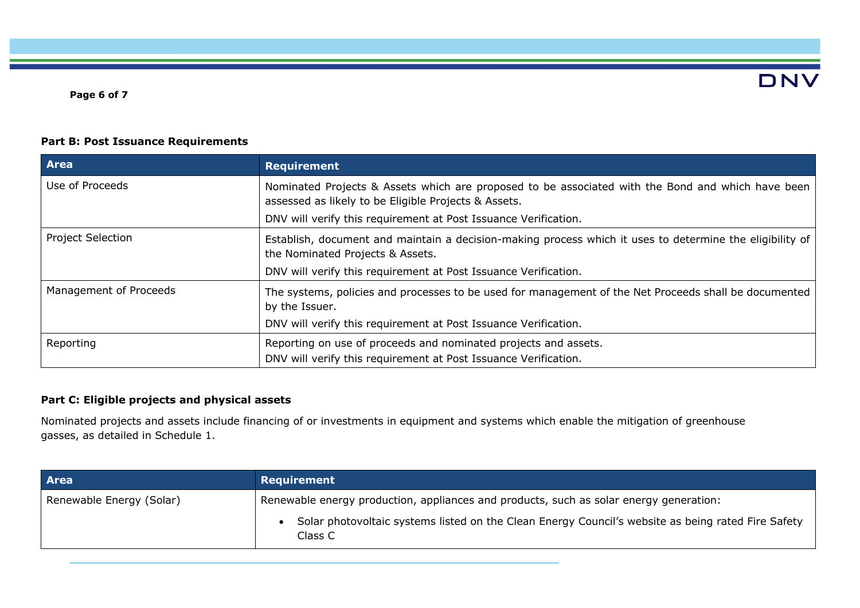**DNV** 

### **Part B: Post Issuance Requirements**

| <b>Area</b>              | <b>Requirement</b>                                                                                                                                                                                                           |
|--------------------------|------------------------------------------------------------------------------------------------------------------------------------------------------------------------------------------------------------------------------|
| Use of Proceeds          | Nominated Projects & Assets which are proposed to be associated with the Bond and which have been<br>assessed as likely to be Eligible Projects & Assets.<br>DNV will verify this requirement at Post Issuance Verification. |
| <b>Project Selection</b> | Establish, document and maintain a decision-making process which it uses to determine the eligibility of<br>the Nominated Projects & Assets.<br>DNV will verify this requirement at Post Issuance Verification.              |
| Management of Proceeds   | The systems, policies and processes to be used for management of the Net Proceeds shall be documented<br>by the Issuer.<br>DNV will verify this requirement at Post Issuance Verification.                                   |
| Reporting                | Reporting on use of proceeds and nominated projects and assets.<br>DNV will verify this requirement at Post Issuance Verification.                                                                                           |

### **Part C: Eligible projects and physical assets**

Nominated projects and assets include financing of or investments in equipment and systems which enable the mitigation of greenhouse gasses, as detailed in Schedule 1.

| Area                     | Requirement                                                                                                   |  |
|--------------------------|---------------------------------------------------------------------------------------------------------------|--|
| Renewable Energy (Solar) | Renewable energy production, appliances and products, such as solar energy generation:                        |  |
|                          | Solar photovoltaic systems listed on the Clean Energy Council's website as being rated Fire Safety<br>Class C |  |